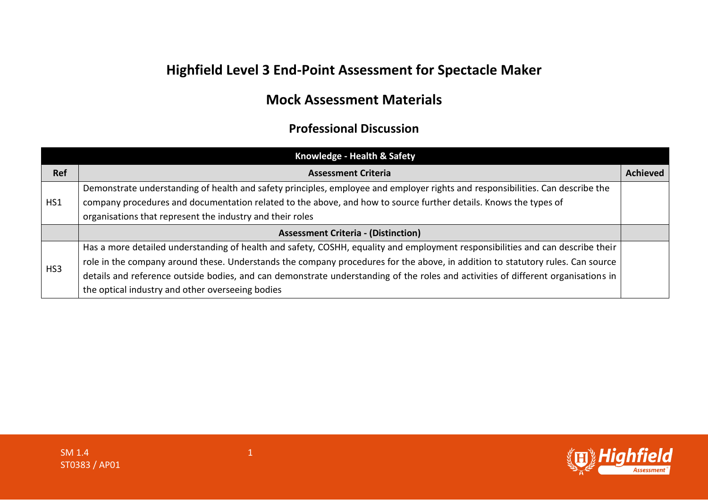## **Highfield Level 3 End-Point Assessment for Spectacle Maker**

## **Mock Assessment Materials**

## **Professional Discussion**

|                 | Knowledge - Health & Safety                                                                                                       |                 |
|-----------------|-----------------------------------------------------------------------------------------------------------------------------------|-----------------|
| <b>Ref</b>      | <b>Assessment Criteria</b>                                                                                                        | <b>Achieved</b> |
|                 | Demonstrate understanding of health and safety principles, employee and employer rights and responsibilities. Can describe the    |                 |
| HS1             | company procedures and documentation related to the above, and how to source further details. Knows the types of                  |                 |
|                 | organisations that represent the industry and their roles                                                                         |                 |
|                 | <b>Assessment Criteria - (Distinction)</b>                                                                                        |                 |
|                 | Has a more detailed understanding of health and safety, COSHH, equality and employment responsibilities and can describe their    |                 |
| HS <sub>3</sub> | role in the company around these. Understands the company procedures for the above, in addition to statutory rules. Can source    |                 |
|                 | details and reference outside bodies, and can demonstrate understanding of the roles and activities of different organisations in |                 |
|                 | the optical industry and other overseeing bodies                                                                                  |                 |

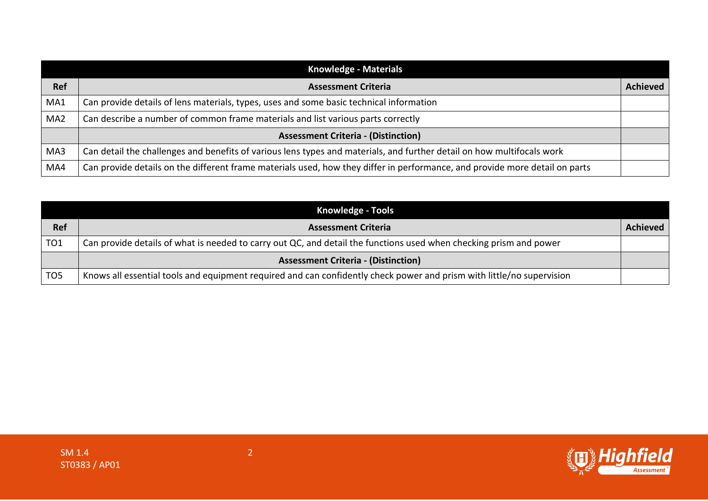|                 | <b>Knowledge - Materials</b>                                                                                                |                 |
|-----------------|-----------------------------------------------------------------------------------------------------------------------------|-----------------|
| <b>Ref</b>      | <b>Assessment Criteria</b>                                                                                                  | <b>Achieved</b> |
| MA1             | Can provide details of lens materials, types, uses and some basic technical information                                     |                 |
| MA <sub>2</sub> | Can describe a number of common frame materials and list various parts correctly                                            |                 |
|                 | <b>Assessment Criteria - (Distinction)</b>                                                                                  |                 |
| MA3             | Can detail the challenges and benefits of various lens types and materials, and further detail on how multifocals work      |                 |
| MA4             | Can provide details on the different frame materials used, how they differ in performance, and provide more detail on parts |                 |

|                 | <b>Knowledge - Tools</b>                                                                                              |          |
|-----------------|-----------------------------------------------------------------------------------------------------------------------|----------|
| Ref             | <b>Assessment Criteria</b>                                                                                            | Achieved |
| TO <sub>1</sub> | Can provide details of what is needed to carry out QC, and detail the functions used when checking prism and power    |          |
|                 | <b>Assessment Criteria - (Distinction)</b>                                                                            |          |
| TO <sub>5</sub> | Knows all essential tools and equipment required and can confidently check power and prism with little/no supervision |          |

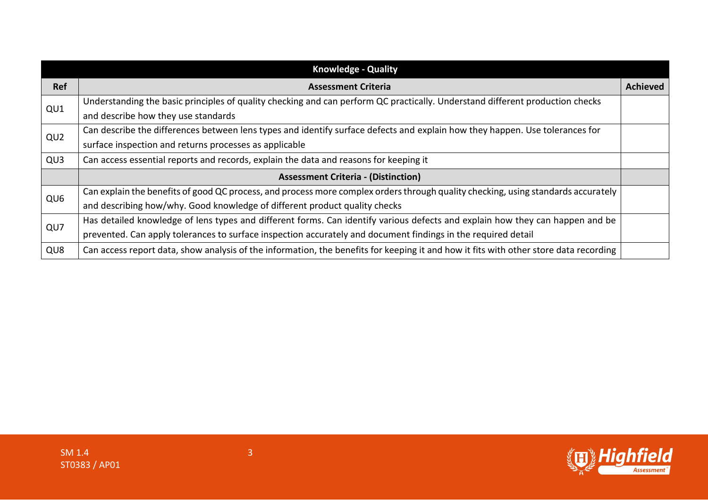| <b>Knowledge - Quality</b> |                                                                                                                                       |                 |
|----------------------------|---------------------------------------------------------------------------------------------------------------------------------------|-----------------|
| Ref                        | <b>Assessment Criteria</b>                                                                                                            | <b>Achieved</b> |
| QU1                        | Understanding the basic principles of quality checking and can perform QC practically. Understand different production checks         |                 |
|                            | and describe how they use standards                                                                                                   |                 |
| QU <sub>2</sub>            | Can describe the differences between lens types and identify surface defects and explain how they happen. Use tolerances for          |                 |
|                            | surface inspection and returns processes as applicable                                                                                |                 |
| QU <sub>3</sub>            | Can access essential reports and records, explain the data and reasons for keeping it                                                 |                 |
|                            | <b>Assessment Criteria - (Distinction)</b>                                                                                            |                 |
| QU <sub>6</sub>            | Can explain the benefits of good QC process, and process more complex orders through quality checking, using standards accurately     |                 |
|                            | and describing how/why. Good knowledge of different product quality checks                                                            |                 |
| QU7                        | Has detailed knowledge of lens types and different forms. Can identify various defects and explain how they can happen and be         |                 |
|                            | prevented. Can apply tolerances to surface inspection accurately and document findings in the required detail                         |                 |
| QU <sub>8</sub>            | Can access report data, show analysis of the information, the benefits for keeping it and how it fits with other store data recording |                 |

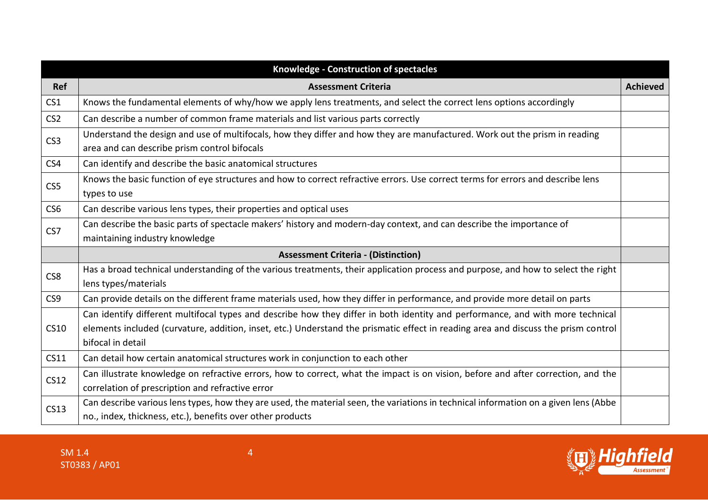|                 | Knowledge - Construction of spectacles                                                                                                                                                                                                                                                    |                 |
|-----------------|-------------------------------------------------------------------------------------------------------------------------------------------------------------------------------------------------------------------------------------------------------------------------------------------|-----------------|
| Ref             | <b>Assessment Criteria</b>                                                                                                                                                                                                                                                                | <b>Achieved</b> |
| CS <sub>1</sub> | Knows the fundamental elements of why/how we apply lens treatments, and select the correct lens options accordingly                                                                                                                                                                       |                 |
| CS <sub>2</sub> | Can describe a number of common frame materials and list various parts correctly                                                                                                                                                                                                          |                 |
| CS <sub>3</sub> | Understand the design and use of multifocals, how they differ and how they are manufactured. Work out the prism in reading<br>area and can describe prism control bifocals                                                                                                                |                 |
| CS4             | Can identify and describe the basic anatomical structures                                                                                                                                                                                                                                 |                 |
| CS5             | Knows the basic function of eye structures and how to correct refractive errors. Use correct terms for errors and describe lens<br>types to use                                                                                                                                           |                 |
| CS <sub>6</sub> | Can describe various lens types, their properties and optical uses                                                                                                                                                                                                                        |                 |
| CS7             | Can describe the basic parts of spectacle makers' history and modern-day context, and can describe the importance of<br>maintaining industry knowledge                                                                                                                                    |                 |
|                 | <b>Assessment Criteria - (Distinction)</b>                                                                                                                                                                                                                                                |                 |
| CS8             | Has a broad technical understanding of the various treatments, their application process and purpose, and how to select the right<br>lens types/materials                                                                                                                                 |                 |
| CS <sub>9</sub> | Can provide details on the different frame materials used, how they differ in performance, and provide more detail on parts                                                                                                                                                               |                 |
| <b>CS10</b>     | Can identify different multifocal types and describe how they differ in both identity and performance, and with more technical<br>elements included (curvature, addition, inset, etc.) Understand the prismatic effect in reading area and discuss the prism control<br>bifocal in detail |                 |
| CS11            | Can detail how certain anatomical structures work in conjunction to each other                                                                                                                                                                                                            |                 |
| <b>CS12</b>     | Can illustrate knowledge on refractive errors, how to correct, what the impact is on vision, before and after correction, and the<br>correlation of prescription and refractive error                                                                                                     |                 |
| <b>CS13</b>     | Can describe various lens types, how they are used, the material seen, the variations in technical information on a given lens (Abbe<br>no., index, thickness, etc.), benefits over other products                                                                                        |                 |



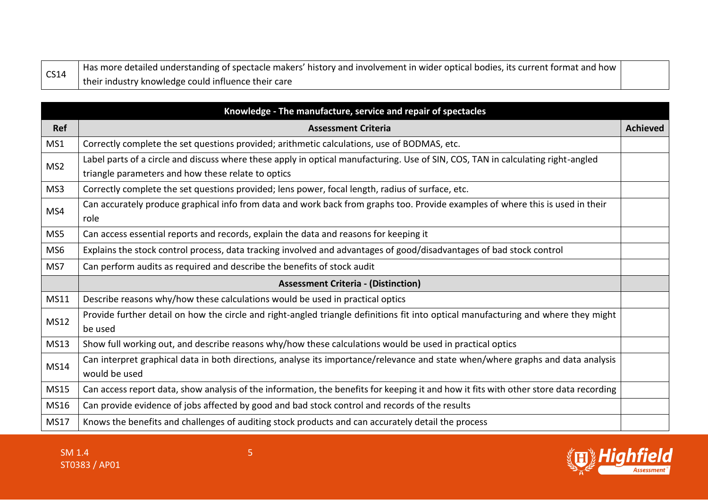| $\vert$ CS14 | Has more detailed understanding of spectacle makers' history and involvement in wider optical bodies, its current format and how $\vert$ |  |
|--------------|------------------------------------------------------------------------------------------------------------------------------------------|--|
|              | their industry knowledge could influence their care                                                                                      |  |

|                 | Knowledge - The manufacture, service and repair of spectacles                                                                                    |                 |
|-----------------|--------------------------------------------------------------------------------------------------------------------------------------------------|-----------------|
| <b>Ref</b>      | <b>Assessment Criteria</b>                                                                                                                       | <b>Achieved</b> |
| MS1             | Correctly complete the set questions provided; arithmetic calculations, use of BODMAS, etc.                                                      |                 |
| MS <sub>2</sub> | Label parts of a circle and discuss where these apply in optical manufacturing. Use of SIN, COS, TAN in calculating right-angled                 |                 |
|                 | triangle parameters and how these relate to optics                                                                                               |                 |
| MS3             | Correctly complete the set questions provided; lens power, focal length, radius of surface, etc.                                                 |                 |
| MS4             | Can accurately produce graphical info from data and work back from graphs too. Provide examples of where this is used in their<br>role           |                 |
| MS5             | Can access essential reports and records, explain the data and reasons for keeping it                                                            |                 |
| MS <sub>6</sub> | Explains the stock control process, data tracking involved and advantages of good/disadvantages of bad stock control                             |                 |
| MS7             | Can perform audits as required and describe the benefits of stock audit                                                                          |                 |
|                 | <b>Assessment Criteria - (Distinction)</b>                                                                                                       |                 |
| <b>MS11</b>     | Describe reasons why/how these calculations would be used in practical optics                                                                    |                 |
| <b>MS12</b>     | Provide further detail on how the circle and right-angled triangle definitions fit into optical manufacturing and where they might<br>be used    |                 |
| <b>MS13</b>     | Show full working out, and describe reasons why/how these calculations would be used in practical optics                                         |                 |
| <b>MS14</b>     | Can interpret graphical data in both directions, analyse its importance/relevance and state when/where graphs and data analysis<br>would be used |                 |
| <b>MS15</b>     | Can access report data, show analysis of the information, the benefits for keeping it and how it fits with other store data recording            |                 |
| MS16            | Can provide evidence of jobs affected by good and bad stock control and records of the results                                                   |                 |
| <b>MS17</b>     | Knows the benefits and challenges of auditing stock products and can accurately detail the process                                               |                 |



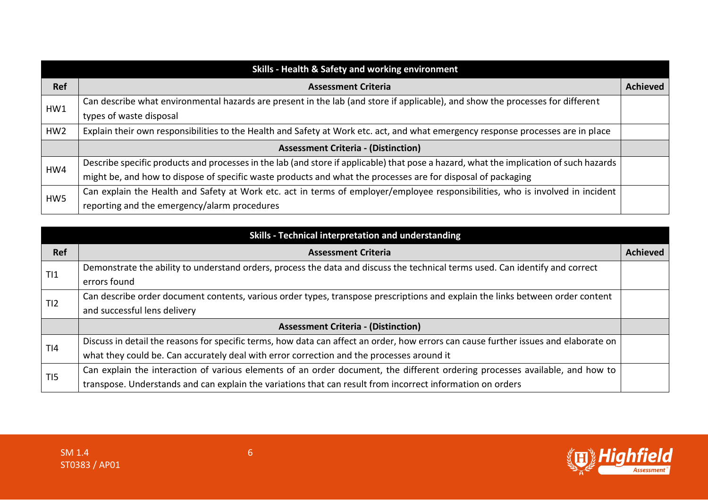| Skills - Health & Safety and working environment |                                                                                                                                        |                 |
|--------------------------------------------------|----------------------------------------------------------------------------------------------------------------------------------------|-----------------|
| <b>Ref</b>                                       | <b>Assessment Criteria</b>                                                                                                             | <b>Achieved</b> |
| HW1                                              | Can describe what environmental hazards are present in the lab (and store if applicable), and show the processes for different         |                 |
|                                                  | types of waste disposal                                                                                                                |                 |
| HW <sub>2</sub>                                  | Explain their own responsibilities to the Health and Safety at Work etc. act, and what emergency response processes are in place       |                 |
|                                                  | <b>Assessment Criteria - (Distinction)</b>                                                                                             |                 |
| HW4                                              | Describe specific products and processes in the lab (and store if applicable) that pose a hazard, what the implication of such hazards |                 |
|                                                  | might be, and how to dispose of specific waste products and what the processes are for disposal of packaging                           |                 |
| HW5                                              | Can explain the Health and Safety at Work etc. act in terms of employer/employee responsibilities, who is involved in incident         |                 |
|                                                  | reporting and the emergency/alarm procedures                                                                                           |                 |

|                 | Skills - Technical interpretation and understanding                                                                                  |                 |
|-----------------|--------------------------------------------------------------------------------------------------------------------------------------|-----------------|
| <b>Ref</b>      | <b>Assessment Criteria</b>                                                                                                           | <b>Achieved</b> |
| T <sub>11</sub> | Demonstrate the ability to understand orders, process the data and discuss the technical terms used. Can identify and correct        |                 |
|                 | errors found                                                                                                                         |                 |
| TI2             | Can describe order document contents, various order types, transpose prescriptions and explain the links between order content       |                 |
|                 | and successful lens delivery                                                                                                         |                 |
|                 | <b>Assessment Criteria - (Distinction)</b>                                                                                           |                 |
| T <sub>14</sub> | Discuss in detail the reasons for specific terms, how data can affect an order, how errors can cause further issues and elaborate on |                 |
|                 | what they could be. Can accurately deal with error correction and the processes around it                                            |                 |
| T <sub>15</sub> | Can explain the interaction of various elements of an order document, the different ordering processes available, and how to         |                 |
|                 | transpose. Understands and can explain the variations that can result from incorrect information on orders                           |                 |

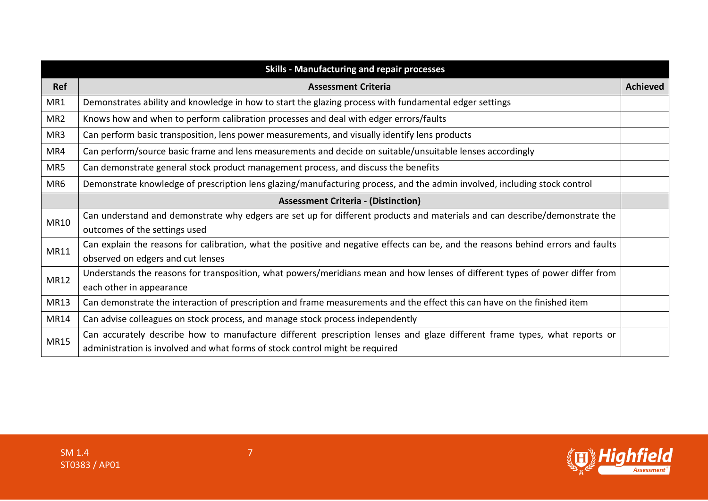|                 | <b>Skills - Manufacturing and repair processes</b>                                                                                                                                                        |                 |
|-----------------|-----------------------------------------------------------------------------------------------------------------------------------------------------------------------------------------------------------|-----------------|
| Ref             | <b>Assessment Criteria</b>                                                                                                                                                                                | <b>Achieved</b> |
| MR1             | Demonstrates ability and knowledge in how to start the glazing process with fundamental edger settings                                                                                                    |                 |
| MR <sub>2</sub> | Knows how and when to perform calibration processes and deal with edger errors/faults                                                                                                                     |                 |
| MR3             | Can perform basic transposition, lens power measurements, and visually identify lens products                                                                                                             |                 |
| MR4             | Can perform/source basic frame and lens measurements and decide on suitable/unsuitable lenses accordingly                                                                                                 |                 |
| MR5             | Can demonstrate general stock product management process, and discuss the benefits                                                                                                                        |                 |
| MR <sub>6</sub> | Demonstrate knowledge of prescription lens glazing/manufacturing process, and the admin involved, including stock control                                                                                 |                 |
|                 | <b>Assessment Criteria - (Distinction)</b>                                                                                                                                                                |                 |
| <b>MR10</b>     | Can understand and demonstrate why edgers are set up for different products and materials and can describe/demonstrate the<br>outcomes of the settings used                                               |                 |
| MR11            | Can explain the reasons for calibration, what the positive and negative effects can be, and the reasons behind errors and faults<br>observed on edgers and cut lenses                                     |                 |
| MR12            | Understands the reasons for transposition, what powers/meridians mean and how lenses of different types of power differ from<br>each other in appearance                                                  |                 |
| MR13            | Can demonstrate the interaction of prescription and frame measurements and the effect this can have on the finished item                                                                                  |                 |
| <b>MR14</b>     | Can advise colleagues on stock process, and manage stock process independently                                                                                                                            |                 |
| <b>MR15</b>     | Can accurately describe how to manufacture different prescription lenses and glaze different frame types, what reports or<br>administration is involved and what forms of stock control might be required |                 |



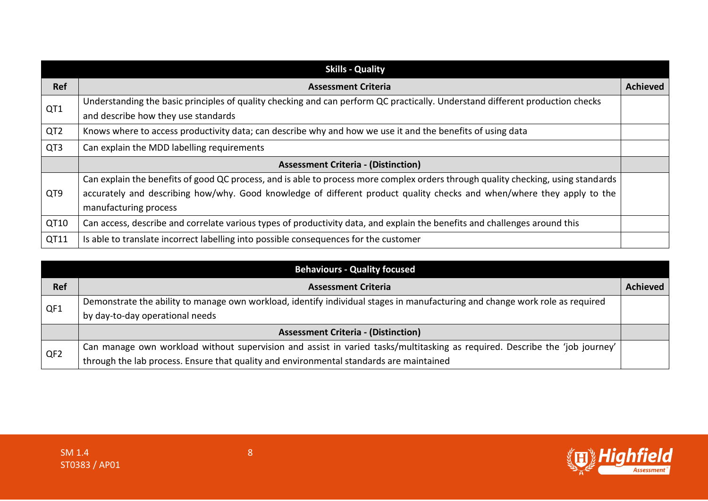|                 | <b>Skills - Quality</b>                                                                                                           |                 |
|-----------------|-----------------------------------------------------------------------------------------------------------------------------------|-----------------|
| <b>Ref</b>      | <b>Assessment Criteria</b>                                                                                                        | <b>Achieved</b> |
| QT1             | Understanding the basic principles of quality checking and can perform QC practically. Understand different production checks     |                 |
|                 | and describe how they use standards                                                                                               |                 |
| QT <sub>2</sub> | Knows where to access productivity data; can describe why and how we use it and the benefits of using data                        |                 |
| QT3             | Can explain the MDD labelling requirements                                                                                        |                 |
|                 | <b>Assessment Criteria - (Distinction)</b>                                                                                        |                 |
|                 | Can explain the benefits of good QC process, and is able to process more complex orders through quality checking, using standards |                 |
| QT9             | accurately and describing how/why. Good knowledge of different product quality checks and when/where they apply to the            |                 |
|                 | manufacturing process                                                                                                             |                 |
| QT10            | Can access, describe and correlate various types of productivity data, and explain the benefits and challenges around this        |                 |
| QT11            | Is able to translate incorrect labelling into possible consequences for the customer                                              |                 |

|                 | <b>Behaviours - Quality focused</b>                                                                                                                             |                 |
|-----------------|-----------------------------------------------------------------------------------------------------------------------------------------------------------------|-----------------|
| <b>Ref</b>      | <b>Assessment Criteria</b>                                                                                                                                      | <b>Achieved</b> |
| QF1             | Demonstrate the ability to manage own workload, identify individual stages in manufacturing and change work role as required<br>by day-to-day operational needs |                 |
|                 | <b>Assessment Criteria - (Distinction)</b>                                                                                                                      |                 |
| QF <sub>2</sub> | Can manage own workload without supervision and assist in varied tasks/multitasking as required. Describe the 'job journey'                                     |                 |
|                 | through the lab process. Ensure that quality and environmental standards are maintained                                                                         |                 |